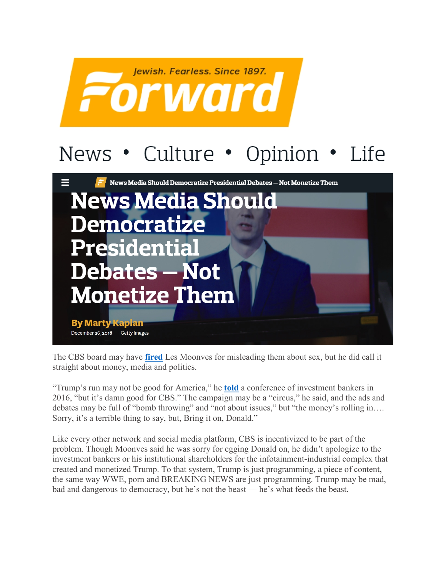

## News • Culture • Opinion • Life



The CBS board may have **[fired](https://www.cbsnews.com/news/cbs-board-says-les-moonves-will-not-receive-120-million-severance/)** Les Moonves for misleading them about sex, but he did call it straight about money, media and politics.

"Trump's run may not be good for America," he **[told](https://www.hollywoodreporter.com/news/leslie-moonves-donald-trump-may-871464)** a conference of investment bankers in 2016, "but it's damn good for CBS." The campaign may be a "circus," he said, and the ads and debates may be full of "bomb throwing" and "not about issues," but "the money's rolling in…. Sorry, it's a terrible thing to say, but, Bring it on, Donald."

Like every other network and social media platform, CBS is incentivized to be part of the problem. Though Moonves said he was sorry for egging Donald on, he didn't apologize to the investment bankers or his institutional shareholders for the infotainment-industrial complex that created and monetized Trump. To that system, Trump is just programming, a piece of content, the same way WWE, porn and BREAKING NEWS are just programming. Trump may be mad, bad and dangerous to democracy, but he's not the beast — he's what feeds the beast.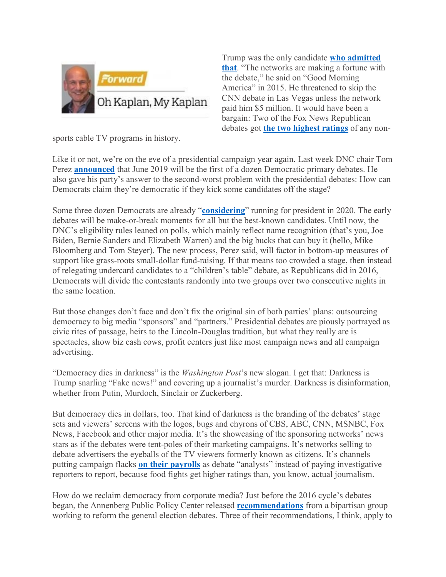

Trump was the only candidate **[who admitted](https://www.washingtonpost.com/news/the-fix/wp/2015/12/01/donald-trumps-ridiculous-and-oh-so-trump-request-for-a-5-million-debate-appearance-fee/)  [that](https://www.washingtonpost.com/news/the-fix/wp/2015/12/01/donald-trumps-ridiculous-and-oh-so-trump-request-for-a-5-million-debate-appearance-fee/)**. "The networks are making a fortune with the debate," he said on "Good Morning America" in 2015. He threatened to skip the CNN debate in Las Vegas unless the network paid him \$5 million. It would have been a bargain: Two of the Fox News Republican debates got **[the two highest ratings](https://www.reuters.com/article/us-usa-election-debate/after-trump-pulls-out-fox-news-cancels-republican-debate-idUSKCN0WI2H0)** of any non-

sports cable TV programs in history.

Like it or not, we're on the eve of a presidential campaign year again. Last week DNC chair Tom Perez **[announced](https://www.nytimes.com/2018/12/20/us/politics/democrats-presidential-debates.html)** that June 2019 will be the first of a dozen Democratic primary debates. He also gave his party's answer to the second-worst problem with the presidential debates: How can Democrats claim they're democratic if they kick some candidates off the stage?

Some three dozen Democrats are already "**[considering](https://www.vox.com/policy-and-politics/2018/12/17/18134587/democratic-candidates-2020-race)**" running for president in 2020. The early debates will be make-or-break moments for all but the best-known candidates. Until now, the DNC's eligibility rules leaned on polls, which mainly reflect name recognition (that's you, Joe Biden, Bernie Sanders and Elizabeth Warren) and the big bucks that can buy it (hello, Mike Bloomberg and Tom Steyer). The new process, Perez said, will factor in bottom-up measures of support like grass-roots small-dollar fund-raising. If that means too crowded a stage, then instead of relegating undercard candidates to a "children's table" debate, as Republicans did in 2016, Democrats will divide the contestants randomly into two groups over two consecutive nights in the same location.

But those changes don't face and don't fix the original sin of both parties' plans: outsourcing democracy to big media "sponsors" and "partners." Presidential debates are piously portrayed as civic rites of passage, heirs to the Lincoln-Douglas tradition, but what they really are is spectacles, show biz cash cows, profit centers just like most campaign news and all campaign advertising.

"Democracy dies in darkness" is the *Washington Post*'s new slogan. I get that: Darkness is Trump snarling "Fake news!" and covering up a journalist's murder. Darkness is disinformation, whether from Putin, Murdoch, Sinclair or Zuckerberg.

But democracy dies in dollars, too. That kind of darkness is the branding of the debates' stage sets and viewers' screens with the logos, bugs and chyrons of CBS, ABC, CNN, MSNBC, Fox News, Facebook and other major media. It's the showcasing of the sponsoring networks' news stars as if the debates were tent-poles of their marketing campaigns. It's networks selling to debate advertisers the eyeballs of the TV viewers formerly known as citizens. It's channels putting campaign flacks **[on their payrolls](https://www.nytimes.com/2016/09/22/us/politics/corey-lewandowski-donald-trump-payroll.html)** as debate "analysts" instead of paying investigative reporters to report, because food fights get higher ratings than, you know, actual journalism.

How do we reclaim democracy from corporate media? Just before the 2016 cycle's debates began, the Annenberg Public Policy Center released **[recommendations](https://www.annenbergpublicpolicycenter.org/feature/democratizing-the-debates/)** from a bipartisan group working to reform the general election debates. Three of their recommendations, I think, apply to